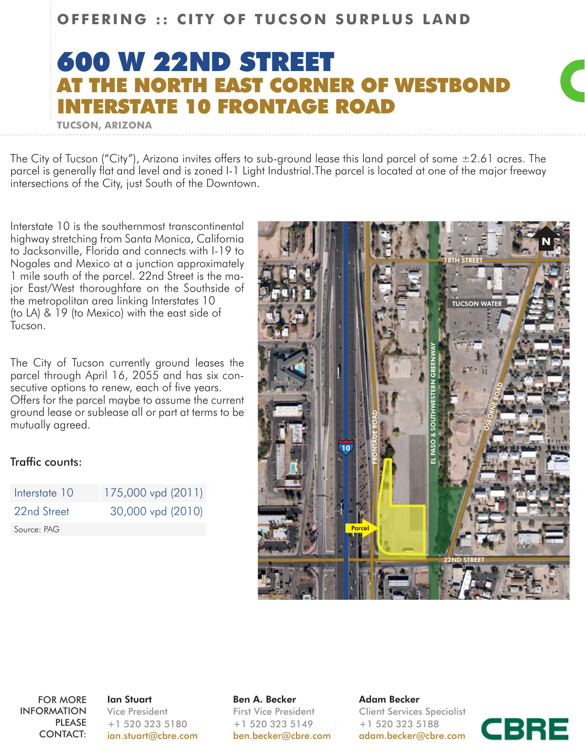## **OFFERING :: CITY OF TUCSON SURPLUS LAND**

## 600 W 22ND STREET CORNER OF WESTROND **10 FRONTAGE ROAD**



The City of Tucson ("City"), Arizona invites offers to sub-ground lease this land parcel of some  $\pm 2.61$  acres. The parcel is generally flat and level and is zoned I-1 Light Industrial.The parcel is located at one of the major freeway intersections of the City, just South of the Downtown.

Interstate 10 is the southernmost transcontinental highway stretching from Santa Monica, California to Jacksonville, Florida and connects with I-19 to Nogales and Mexico at a junction approximately 1 mile south of the parcel. 22nd Street is the major East/West thoroughfare on the Southside of the metropolitan area linking Interstates 10 (to LA) & 19 (to Mexico) with the east side of Tucson.

**TUCSON, ARIZONA**

The City of Tucson currently ground leases the parcel through April 16, 2055 and has six consecutive options to renew, each of five years. Offers for the parcel maybe to assume the current ground lease or sublease all or part at terms to be mutually agreed.

## Traffic counts:

| Interstate 10 | 175,000 vpd (2011) |
|---------------|--------------------|
| 22nd Street   | 30,000 vpd (2010)  |
| Source: PAG   |                    |



FOR MORE INFORMATION PLEASE CONTACT:

Ian Stuart Vice President +1 520 323 5180 ian.stuart@cbre.com Ben A. Becker First Vice President +1 520 323 5149 ben.becker@cbre.com

Adam Becker Client Services Specialist +1 520 323 5188 adam.becker@cbre.com